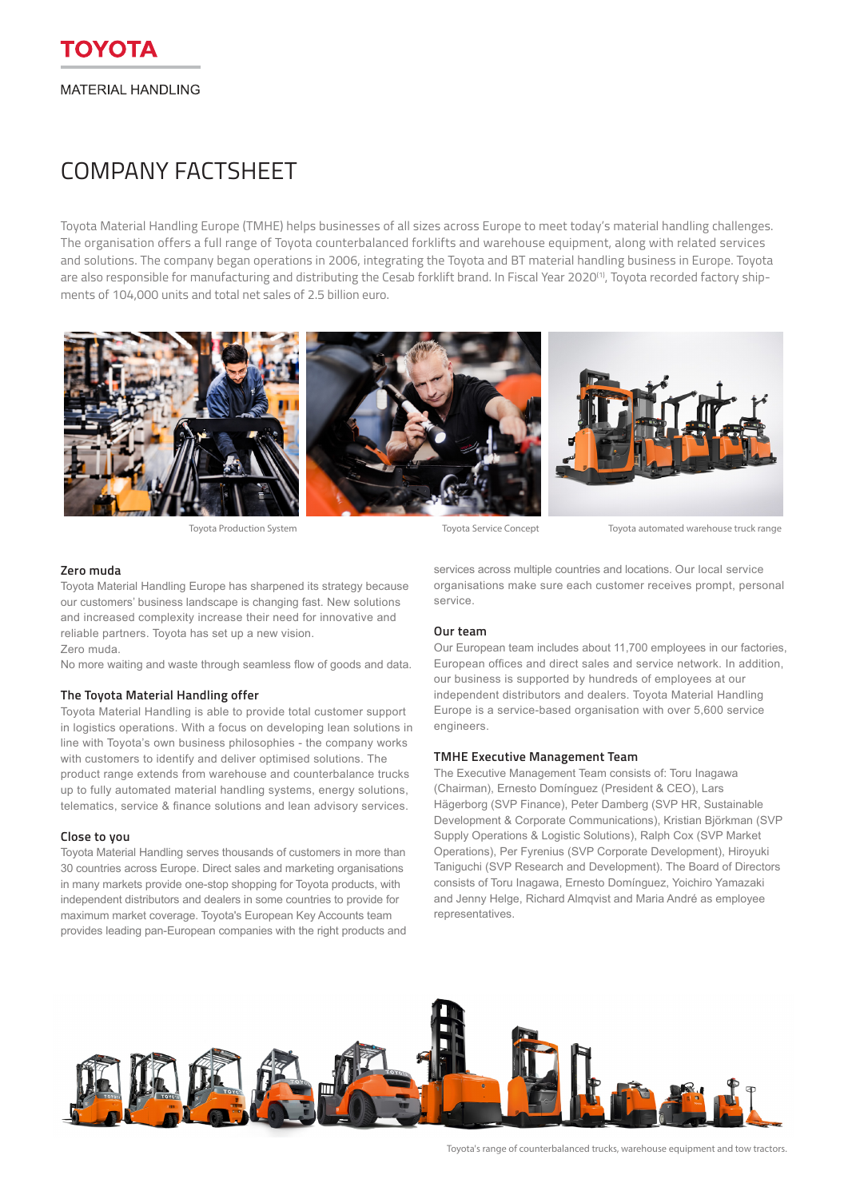# COMPANY FACTSHEET

Toyota Material Handling Europe (TMHE) helps businesses of all sizes across Europe to meet today's material handling challenges. The organisation offers a full range of Toyota counterbalanced forklifts and warehouse equipment, along with related services and solutions. The company began operations in 2006, integrating the Toyota and BT material handling business in Europe. Toyota are also responsible for manufacturing and distributing the Cesab forklift brand. In Fiscal Year 2020<sup>(1)</sup>, Toyota recorded factory shipments of 104,000 units and total net sales of 2.5 billion euro.



Toyota Production System Toyota Service Concept Toyota automated warehouse truck range

#### **Zero muda**

Toyota Material Handling Europe has sharpened its strategy because our customers' business landscape is changing fast. New solutions and increased complexity increase their need for innovative and reliable partners. Toyota has set up a new vision. Zero muda.

No more waiting and waste through seamless flow of goods and data.

#### **The Toyota Material Handling offer**

Toyota Material Handling is able to provide total customer support in logistics operations. With a focus on developing lean solutions in line with Toyota's own business philosophies - the company works with customers to identify and deliver optimised solutions. The product range extends from warehouse and counterbalance trucks up to fully automated material handling systems, energy solutions, telematics, service & finance solutions and lean advisory services.

## **Close to you**

Toyota Material Handling serves thousands of customers in more than 30 countries across Europe. Direct sales and marketing organisations in many markets provide one-stop shopping for Toyota products, with independent distributors and dealers in some countries to provide for maximum market coverage. Toyota's European Key Accounts team provides leading pan-European companies with the right products and services across multiple countries and locations. Our local service organisations make sure each customer receives prompt, personal service.

#### **Our team**

Our European team includes about 11,700 employees in our factories, European offices and direct sales and service network. In addition, our business is supported by hundreds of employees at our independent distributors and dealers. Toyota Material Handling Europe is a service-based organisation with over 5,600 service engineers.

#### **TMHE Executive Management Team**

The Executive Management Team consists of: Toru Inagawa (Chairman), Ernesto Domínguez (President & CEO), Lars Hägerborg (SVP Finance), Peter Damberg (SVP HR, Sustainable Development & Corporate Communications), Kristian Björkman (SVP Supply Operations & Logistic Solutions), Ralph Cox (SVP Market Operations), Per Fyrenius (SVP Corporate Development), Hiroyuki Taniguchi (SVP Research and Development). The Board of Directors consists of Toru Inagawa, Ernesto Domínguez, Yoichiro Yamazaki and Jenny Helge, Richard Almqvist and Maria André as employee representatives.